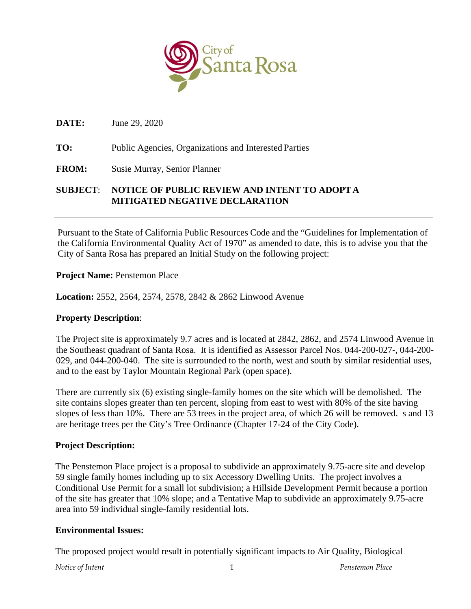

**DATE:** June 29, 2020

**TO:** Public Agencies, Organizations and Interested Parties

**FROM:** Susie Murray, Senior Planner

## **SUBJECT**: **NOTICE OF PUBLIC REVIEW AND INTENT TO ADOPT A MITIGATED NEGATIVE DECLARATION**

Pursuant to the State of California Public Resources Code and the "Guidelines for Implementation of the California Environmental Quality Act of 1970" as amended to date, this is to advise you that the City of Santa Rosa has prepared an Initial Study on the following project:

**Project Name:** Penstemon Place

**Location:** 2552, 2564, 2574, 2578, 2842 & 2862 Linwood Avenue

## **Property Description**:

The Project site is approximately 9.7 acres and is located at 2842, 2862, and 2574 Linwood Avenue in the Southeast quadrant of Santa Rosa. It is identified as Assessor Parcel Nos. 044-200-027-, 044-200- 029, and 044-200-040. The site is surrounded to the north, west and south by similar residential uses, and to the east by Taylor Mountain Regional Park (open space).

There are currently six (6) existing single-family homes on the site which will be demolished. The site contains slopes greater than ten percent, sloping from east to west with 80% of the site having slopes of less than 10%. There are 53 trees in the project area, of which 26 will be removed. s and 13 are heritage trees per the City's Tree Ordinance (Chapter 17-24 of the City Code).

## **Project Description:**

The Penstemon Place project is a proposal to subdivide an approximately 9.75-acre site and develop 59 single family homes including up to six Accessory Dwelling Units. The project involves a Conditional Use Permit for a small lot subdivision; a Hillside Development Permit because a portion of the site has greater that 10% slope; and a Tentative Map to subdivide an approximately 9.75-acre area into 59 individual single-family residential lots.

## **Environmental Issues:**

The proposed project would result in potentially significant impacts to Air Quality, Biological

*Notice of Intent* 1 *Penstemon Place*